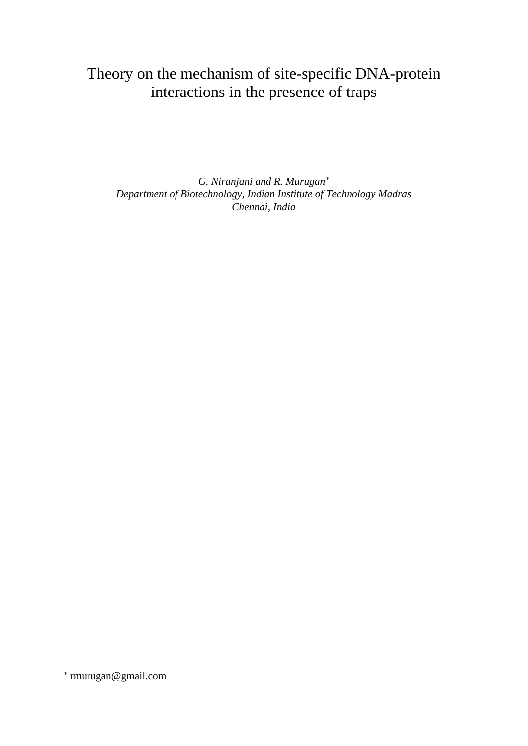# Theory on the mechanism of site-specific DNA-protein interactions in the presence of traps

*G. Niranjani and R. Murugan*[∗](#page-0-0) *Department of Biotechnology, Indian Institute of Technology Madras Chennai, India*

<u>.</u>

<span id="page-0-0"></span><sup>∗</sup> rmurugan@gmail.com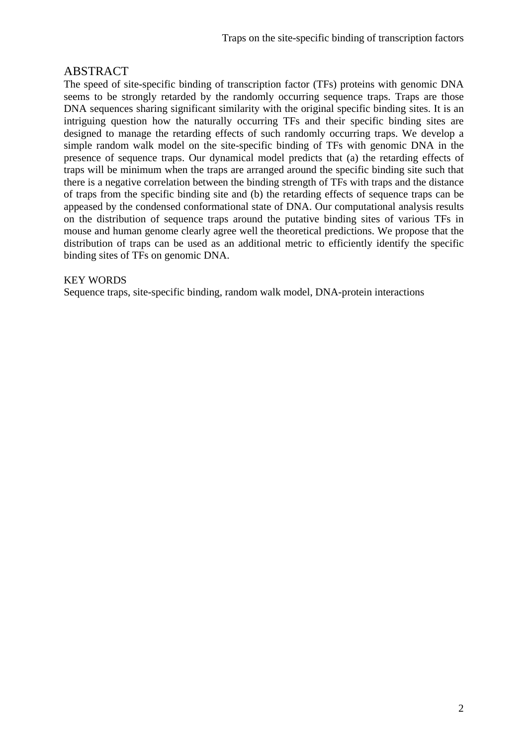# ABSTRACT

The speed of site-specific binding of transcription factor (TFs) proteins with genomic DNA seems to be strongly retarded by the randomly occurring sequence traps. Traps are those DNA sequences sharing significant similarity with the original specific binding sites. It is an intriguing question how the naturally occurring TFs and their specific binding sites are designed to manage the retarding effects of such randomly occurring traps. We develop a simple random walk model on the site-specific binding of TFs with genomic DNA in the presence of sequence traps. Our dynamical model predicts that (a) the retarding effects of traps will be minimum when the traps are arranged around the specific binding site such that there is a negative correlation between the binding strength of TFs with traps and the distance of traps from the specific binding site and (b) the retarding effects of sequence traps can be appeased by the condensed conformational state of DNA. Our computational analysis results on the distribution of sequence traps around the putative binding sites of various TFs in mouse and human genome clearly agree well the theoretical predictions. We propose that the distribution of traps can be used as an additional metric to efficiently identify the specific binding sites of TFs on genomic DNA.

# KEY WORDS

Sequence traps, site-specific binding, random walk model, DNA-protein interactions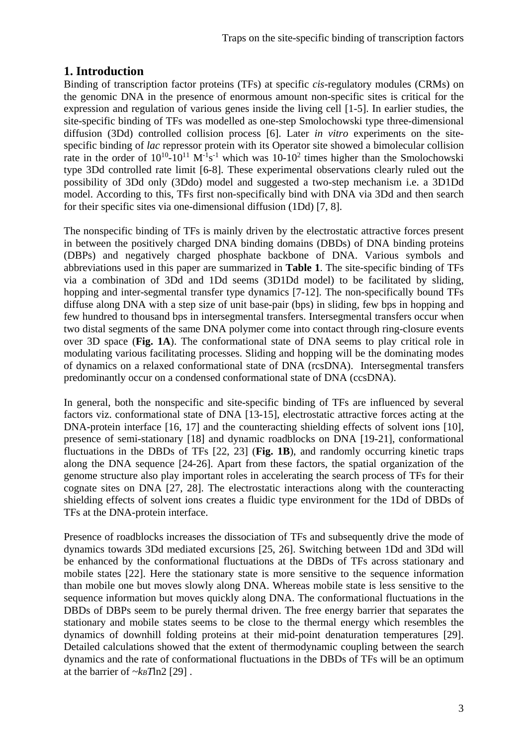# **1. Introduction**

Binding of transcription factor proteins (TFs) at specific *cis*-regulatory modules (CRMs) on the genomic DNA in the presence of enormous amount non-specific sites is critical for the expression and regulation of various genes inside the living cell [1-5]. In earlier studies, the site-specific binding of TFs was modelled as one-step Smolochowski type three-dimensional diffusion (3Dd) controlled collision process [6]. Later *in vitro* experiments on the sitespecific binding of *lac* repressor protein with its Operator site showed a bimolecular collision rate in the order of  $10^{10}$ - $10^{11}$  M<sup>-1</sup>s<sup>-1</sup> which was  $10$ - $10^2$  times higher than the Smolochowski type 3Dd controlled rate limit [6-8]. These experimental observations clearly ruled out the possibility of 3Dd only (3Ddo) model and suggested a two-step mechanism i.e. a 3D1Dd model. According to this, TFs first non-specifically bind with DNA via 3Dd and then search for their specific sites via one-dimensional diffusion (1Dd) [7, 8].

The nonspecific binding of TFs is mainly driven by the electrostatic attractive forces present in between the positively charged DNA binding domains (DBDs) of DNA binding proteins (DBPs) and negatively charged phosphate backbone of DNA. Various symbols and abbreviations used in this paper are summarized in **Table 1**. The site-specific binding of TFs via a combination of 3Dd and 1Dd seems (3D1Dd model) to be facilitated by sliding, hopping and inter-segmental transfer type dynamics [7-12]. The non-specifically bound TFs diffuse along DNA with a step size of unit base-pair (bps) in sliding, few bps in hopping and few hundred to thousand bps in intersegmental transfers. Intersegmental transfers occur when two distal segments of the same DNA polymer come into contact through ring-closure events over 3D space (**Fig. 1A**). The conformational state of DNA seems to play critical role in modulating various facilitating processes. Sliding and hopping will be the dominating modes of dynamics on a relaxed conformational state of DNA (rcsDNA). Intersegmental transfers predominantly occur on a condensed conformational state of DNA (ccsDNA).

In general, both the nonspecific and site-specific binding of TFs are influenced by several factors viz. conformational state of DNA [13-15], electrostatic attractive forces acting at the DNA-protein interface [16, 17] and the counteracting shielding effects of solvent ions [10], presence of semi-stationary [18] and dynamic roadblocks on DNA [19-21], conformational fluctuations in the DBDs of TFs [22, 23] (**Fig. 1B**), and randomly occurring kinetic traps along the DNA sequence [24-26]. Apart from these factors, the spatial organization of the genome structure also play important roles in accelerating the search process of TFs for their cognate sites on DNA [27, 28]. The electrostatic interactions along with the counteracting shielding effects of solvent ions creates a fluidic type environment for the 1Dd of DBDs of TFs at the DNA-protein interface.

Presence of roadblocks increases the dissociation of TFs and subsequently drive the mode of dynamics towards 3Dd mediated excursions [25, 26]. Switching between 1Dd and 3Dd will be enhanced by the conformational fluctuations at the DBDs of TFs across stationary and mobile states [22]. Here the stationary state is more sensitive to the sequence information than mobile one but moves slowly along DNA. Whereas mobile state is less sensitive to the sequence information but moves quickly along DNA. The conformational fluctuations in the DBDs of DBPs seem to be purely thermal driven. The free energy barrier that separates the stationary and mobile states seems to be close to the thermal energy which resembles the dynamics of downhill folding proteins at their mid-point denaturation temperatures [29]. Detailed calculations showed that the extent of thermodynamic coupling between the search dynamics and the rate of conformational fluctuations in the DBDs of TFs will be an optimum at the barrier of  $\sim k_B T \ln 2$  [29].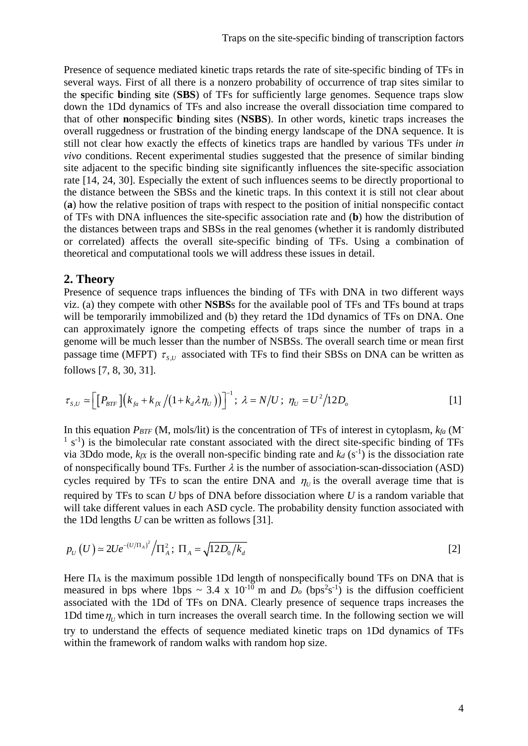Presence of sequence mediated kinetic traps retards the rate of site-specific binding of TFs in several ways. First of all there is a nonzero probability of occurrence of trap sites similar to the **s**pecific **b**inding **s**ite (**SBS**) of TFs for sufficiently large genomes. Sequence traps slow down the 1Dd dynamics of TFs and also increase the overall dissociation time compared to that of other **n**on**s**pecific **b**inding **s**ites (**NSBS**). In other words, kinetic traps increases the overall ruggedness or frustration of the binding energy landscape of the DNA sequence. It is still not clear how exactly the effects of kinetics traps are handled by various TFs under *in vivo* conditions. Recent experimental studies suggested that the presence of similar binding site adjacent to the specific binding site significantly influences the site-specific association rate [14, 24, 30]. Especially the extent of such influences seems to be directly proportional to the distance between the SBSs and the kinetic traps. In this context it is still not clear about (**a**) how the relative position of traps with respect to the position of initial nonspecific contact of TFs with DNA influences the site-specific association rate and (**b**) how the distribution of the distances between traps and SBSs in the real genomes (whether it is randomly distributed or correlated) affects the overall site-specific binding of TFs. Using a combination of theoretical and computational tools we will address these issues in detail.

# **2. Theory**

Presence of sequence traps influences the binding of TFs with DNA in two different ways viz. (a) they compete with other **NSBS**s for the available pool of TFs and TFs bound at traps will be temporarily immobilized and (b) they retard the 1Dd dynamics of TFs on DNA. One can approximately ignore the competing effects of traps since the number of traps in a genome will be much lesser than the number of NSBSs. The overall search time or mean first passage time (MFPT)  $\tau_{sU}$  associated with TFs to find their SBSs on DNA can be written as follows [7, 8, 30, 31].

$$
\tau_{S,U} \simeq \left[ \left[ P_{BTF} \right] \left( k_{fa} + k_{fX} / (1 + k_d \lambda \eta_U) \right) \right]^{-1}; \ \lambda = N/U \ ; \ \eta_U = U^2 / 12 D_o \tag{1}
$$

In this equation *PBTF* (M, mols/lit) is the concentration of TFs of interest in cytoplasm,  $kfa$  (M<sup>-</sup>  $<sup>1</sup>$  s<sup>-1</sup>) is the bimolecular rate constant associated with the direct site-specific binding of TFs</sup> via 3Ddo mode,  $k_{fX}$  is the overall non-specific binding rate and  $k_d$  (s<sup>-1</sup>) is the dissociation rate of nonspecifically bound TFs. Further  $\lambda$  is the number of association-scan-dissociation (ASD) cycles required by TFs to scan the entire DNA and  $\eta_{U}$  is the overall average time that is required by TFs to scan *U* bps of DNA before dissociation where *U* is a random variable that will take different values in each ASD cycle. The probability density function associated with the 1Dd lengths *U* can be written as follows [31].

$$
p_U(U) \approx 2U e^{-(U/\Pi_A)^2} / \Pi_A^2; \ \Pi_A = \sqrt{12D_0/k_d}
$$

Here  $\Pi_A$  is the maximum possible 1Dd length of nonspecifically bound TFs on DNA that is measured in bps where 1bps ~ 3.4 x 10<sup>-10</sup> m and  $D<sub>o</sub>$  (bps<sup>2</sup>s<sup>-1</sup>) is the diffusion coefficient associated with the 1Dd of TFs on DNA. Clearly presence of sequence traps increases the 1Dd time  $\eta_{\nu}$  which in turn increases the overall search time. In the following section we will try to understand the effects of sequence mediated kinetic traps on 1Dd dynamics of TFs within the framework of random walks with random hop size.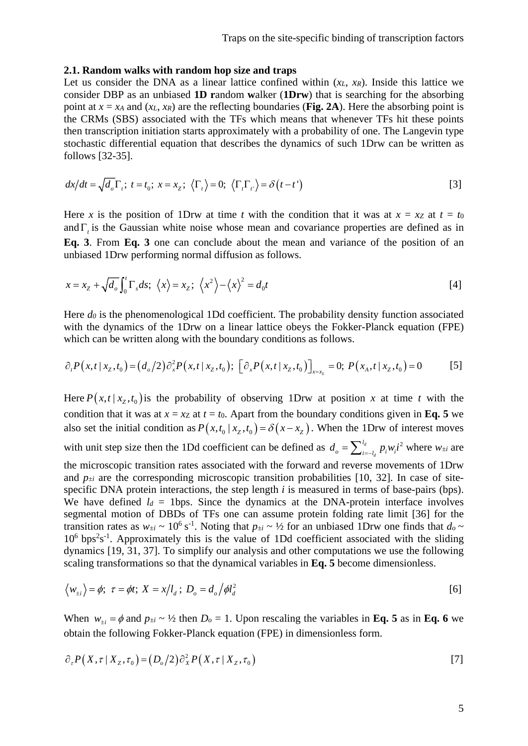#### **2.1. Random walks with random hop size and traps**

Let us consider the DNA as a linear lattice confined within  $(x_L, x_R)$ . Inside this lattice we consider DBP as an unbiased **1D r**andom **w**alker (**1Drw**) that is searching for the absorbing point at  $x = x_A$  and  $(x_L, x_R)$  are the reflecting boundaries (Fig. 2A). Here the absorbing point is the CRMs (SBS) associated with the TFs which means that whenever TFs hit these points then transcription initiation starts approximately with a probability of one. The Langevin type stochastic differential equation that describes the dynamics of such 1Drw can be written as follows [32-35].

$$
dx/dt = \sqrt{d_o} \Gamma_t; \ t = t_0; \ x = x_z; \ \langle \Gamma_t \rangle = 0; \ \langle \Gamma_t \Gamma_t \rangle = \delta(t - t')
$$
 [3]

Here *x* is the position of 1Drw at time *t* with the condition that it was at  $x = xz$  at  $t = t_0$ andΓ*<sup>t</sup>* is the Gaussian white noise whose mean and covariance properties are defined as in **Eq. 3**. From **Eq. 3** one can conclude about the mean and variance of the position of an unbiased 1Drw performing normal diffusion as follows.

$$
x = xZ + \sqrt{d_o} \int_0^t \Gamma_s ds; \ \langle x \rangle = x_Z; \ \langle x^2 \rangle - \langle x \rangle^2 = d_0 t \tag{4}
$$

Here *do* is the phenomenological 1Dd coefficient. The probability density function associated with the dynamics of the 1Drw on a linear lattice obeys the Fokker-Planck equation (FPE) which can be written along with the boundary conditions as follows.

$$
\partial_t P(x,t \mid x_z, t_0) = (d_o/2) \partial_x^2 P(x,t \mid x_z, t_0); \quad [\partial_x P(x,t \mid x_z, t_0)]_{x=x_L} = 0; \quad P(x_A, t \mid x_z, t_0) = 0 \tag{5}
$$

Here  $P(x,t | x_z,t_0)$  is the probability of observing 1Drw at position x at time t with the condition that it was at  $x = x_Z$  at  $t = t_0$ . Apart from the boundary conditions given in **Eq. 5** we also set the initial condition as  $P(x,t_0 | x_z,t_0) = \delta(x-x_z)$ . When the 1Drw of interest moves with unit step size then the 1Dd coefficient can be defined as  $d_o = \sum_{i=-l_a}^{l_d} p_i w_i i^2$  $d_o = \sum_{i=-l_d}^{l_d} p_i w_i i^2$  where  $w_{\pm i}$  are the microscopic transition rates associated with the forward and reverse movements of 1Drw and  $p_{\pm i}$  are the corresponding microscopic transition probabilities [10, 32]. In case of sitespecific DNA protein interactions, the step length *i* is measured in terms of base-pairs (bps). We have defined  $l_d$  = 1bps. Since the dynamics at the DNA-protein interface involves segmental motion of DBDs of TFs one can assume protein folding rate limit [36] for the transition rates as  $w_{\pm i} \sim 10^6 \text{ s}^{-1}$ . Noting that  $p_{\pm i} \sim \frac{1}{2}$  for an unbiased 1Drw one finds that  $d_o \sim$  $10<sup>6</sup>$  bps<sup>2</sup>s<sup>-1</sup>. Approximately this is the value of 1Dd coefficient associated with the sliding dynamics [19, 31, 37]. To simplify our analysis and other computations we use the following scaling transformations so that the dynamical variables in **Eq. 5** become dimensionless.

$$
\langle w_{\pm i} \rangle = \phi; \ \tau = \phi t; \ X = x / l_d; \ D_o = d_o / \phi l_d^2 \tag{6}
$$

When  $w_{+i} = \phi$  and  $p_{+i} \sim \frac{1}{2}$  then  $D_0 = 1$ . Upon rescaling the variables in **Eq. 5** as in **Eq. 6** we obtain the following Fokker-Planck equation (FPE) in dimensionless form.

$$
\partial_{\tau} P(X,\tau | X_z,\tau_0) = (D_o/2) \partial_X^2 P(X,\tau | X_z,\tau_0)
$$
\n
$$
\tag{7}
$$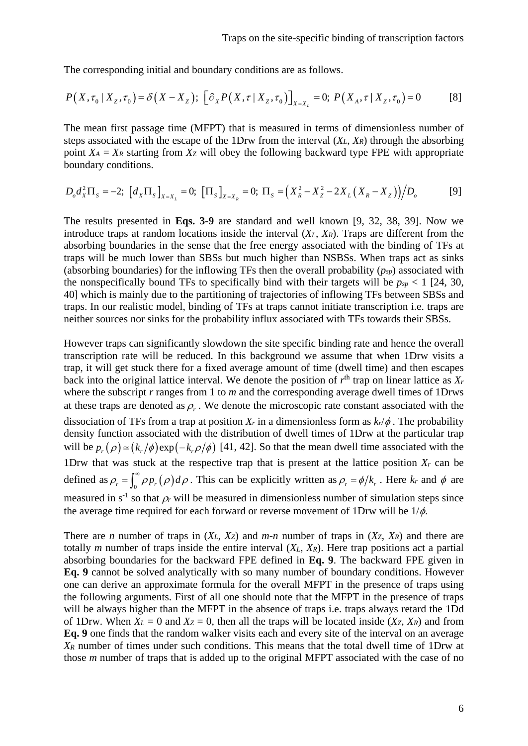The corresponding initial and boundary conditions are as follows.

$$
P(X, \tau_0 | X_z, \tau_0) = \delta(X - X_z); \left[\partial_x P(X, \tau | X_z, \tau_0)\right]_{X = X_L} = 0; P(X_A, \tau | X_z, \tau_0) = 0
$$
 [8]

The mean first passage time (MFPT) that is measured in terms of dimensionless number of steps associated with the escape of the 1Drw from the interval (*XL*, *XR*) through the absorbing point  $X_A = X_R$  starting from  $X_Z$  will obey the following backward type FPE with appropriate boundary conditions.

$$
D_o d_x^2 \Pi_s = -2; \; \left[ d_x \Pi_s \right]_{X=X_L} = 0; \; \left[ \Pi_s \right]_{X=X_R} = 0; \; \Pi_s = \left( X_R^2 - X_Z^2 - 2X_L (X_R - X_Z) \right) / D_o \tag{9}
$$

The results presented in **Eqs. 3-9** are standard and well known [9, 32, 38, 39]. Now we introduce traps at random locations inside the interval (*XL*, *XR*). Traps are different from the absorbing boundaries in the sense that the free energy associated with the binding of TFs at traps will be much lower than SBSs but much higher than NSBSs. When traps act as sinks (absorbing boundaries) for the inflowing TFs then the overall probability (*psp*) associated with the nonspecifically bound TFs to specifically bind with their targets will be  $p_{sp} < 1$  [24, 30, 40] which is mainly due to the partitioning of trajectories of inflowing TFs between SBSs and traps. In our realistic model, binding of TFs at traps cannot initiate transcription i.e. traps are neither sources nor sinks for the probability influx associated with TFs towards their SBSs.

However traps can significantly slowdown the site specific binding rate and hence the overall transcription rate will be reduced. In this background we assume that when 1Drw visits a trap, it will get stuck there for a fixed average amount of time (dwell time) and then escapes back into the original lattice interval. We denote the position of  $r<sup>th</sup>$  trap on linear lattice as  $X_r$ where the subscript *r* ranges from 1 to *m* and the corresponding average dwell times of 1Drws at these traps are denoted as  $\rho_r$ . We denote the microscopic rate constant associated with the dissociation of TFs from a trap at position  $X_r$  in a dimensionless form as  $k_r/\phi$ . The probability density function associated with the distribution of dwell times of 1Drw at the particular trap will be  $p_r(\rho) \approx (k_r/\phi) \exp(-k_r/\phi)$  [41, 42]. So that the mean dwell time associated with the 1Drw that was stuck at the respective trap that is present at the lattice position  $X_r$  can be defined as  $\rho_r = \int_0^\infty \rho p_r(\rho) d\rho$ . This can be explicitly written as  $\rho_r = \phi/k_r$ . Here  $k_r$  and  $\phi$  are measured in  $s^{-1}$  so that  $\rho_r$  will be measured in dimensionless number of simulation steps since the average time required for each forward or reverse movement of 1Drw will be  $1/\phi$ .

There are *n* number of traps in  $(X_L, X_Z)$  and *m*-*n* number of traps in  $(X_Z, X_R)$  and there are totally *m* number of traps inside the entire interval (*XL*, *XR*). Here trap positions act a partial absorbing boundaries for the backward FPE defined in **Eq. 9**. The backward FPE given in **Eq. 9** cannot be solved analytically with so many number of boundary conditions. However one can derive an approximate formula for the overall MFPT in the presence of traps using the following arguments. First of all one should note that the MFPT in the presence of traps will be always higher than the MFPT in the absence of traps i.e. traps always retard the 1Dd of 1Drw. When  $X_L = 0$  and  $X_Z = 0$ , then all the traps will be located inside  $(X_Z, X_R)$  and from **Eq. 9** one finds that the random walker visits each and every site of the interval on an average *XR* number of times under such conditions. This means that the total dwell time of 1Drw at those *m* number of traps that is added up to the original MFPT associated with the case of no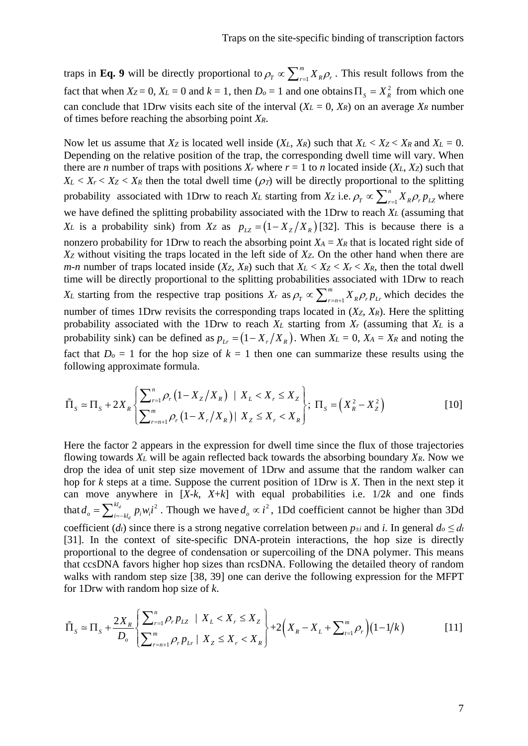traps in **Eq. 9** will be directly proportional to  $\rho_T \propto \sum_{r=1}^m$  $\rho_{\rm r} \propto \sum_{r=1}^{m} X_{\rm R} \rho_{\rm r}$ . This result follows from the fact that when  $X_Z = 0$ ,  $X_L = 0$  and  $k = 1$ , then  $D_0 = 1$  and one obtains  $\Pi_s = X_R^2$  from which one can conclude that 1Drw visits each site of the interval  $(X_L = 0, X_R)$  on an average  $X_R$  number of times before reaching the absorbing point *XR*.

Now let us assume that  $X_Z$  is located well inside  $(X_L, X_R)$  such that  $X_L < X_Z < X_R$  and  $X_L = 0$ . Depending on the relative position of the trap, the corresponding dwell time will vary. When there are *n* number of traps with positions  $X_r$  where  $r = 1$  to *n* located inside ( $X_L, X_Z$ ) such that  $X_L < X_r < X_Z < X_R$  then the total dwell time ( $\rho_T$ ) will be directly proportional to the splitting probability associated with 1Drw to reach  $X_L$  starting from  $X_Z$  i.e.  $\rho_T \propto \sum_{r=1}^n$  $\rho_{\scriptscriptstyle T} \propto \sum_{\scriptscriptstyle r=1}^{\scriptscriptstyle n} X_{\scriptscriptstyle R} \rho_{\scriptscriptstyle r} p_{\scriptscriptstyle LZ}$  where we have defined the splitting probability associated with the 1Drw to reach *XL* (assuming that *XL* is a probability sink) from *Xz* as  $p_{1Z} = (1 - X_Z/X_R)$  [32]. This is because there is a nonzero probability for 1Drw to reach the absorbing point  $X_A = X_R$  that is located right side of *XZ* without visiting the traps located in the left side of *XZ*. On the other hand when there are *m*-*n* number of traps located inside  $(X_Z, X_R)$  such that  $X_L < X_Z < X_r < X_R$ , then the total dwell time will be directly proportional to the splitting probabilities associated with 1Drw to reach  $X_L$  starting from the respective trap positions  $X_r$  as  $\rho_T \propto \sum_{r=n+1}^{m}$  $\rho_T \propto \sum_{r=n+1}^m X_R \rho_r p_{Lr}$  which decides the number of times 1Drw revisits the corresponding traps located in (*XZ*, *XR*). Here the splitting probability associated with the 1Drw to reach *XL* starting from *Xr* (assuming that *XL* is a probability sink) can be defined as  $p_{Lr} = (1 - X_r / X_R)$ . When  $X_L = 0$ ,  $X_A = X_R$  and noting the fact that  $D_0 = 1$  for the hop size of  $k = 1$  then one can summarize these results using the following approximate formula.

$$
\tilde{\Pi}_s \simeq \Pi_s + 2X_R \left\{ \frac{\sum_{r=1}^n \rho_r (1 - X_z / X_R) \mid X_L < X_r \le X_Z}{\sum_{r=n+1}^m \rho_r (1 - X_r / X_R) \mid X_Z \le X_r < X_R} \right\}; \ \Pi_s = \left(X_R^2 - X_Z^2\right) \tag{10}
$$

Here the factor 2 appears in the expression for dwell time since the flux of those trajectories flowing towards *XL* will be again reflected back towards the absorbing boundary *XR*. Now we drop the idea of unit step size movement of 1Drw and assume that the random walker can hop for *k* steps at a time. Suppose the current position of 1Drw is *X*. Then in the next step it can move anywhere in  $[X-k, X+k]$  with equal probabilities i.e.  $1/2k$  and one finds that  $d_o = \sum_{i=-kl_d}^{kl_d} p_i w_i i^2$  $d_o = \sum_{i=-kl_d}^{kl_d} p_i w_i i^2$ . Though we have  $d_o \propto i^2$ , 1Dd coefficient cannot be higher than 3Dd coefficient (*d<sub>t</sub>*) since there is a strong negative correlation between  $p_{\pm i}$  and *i*. In general  $d_o \leq d_t$ [31]. In the context of site-specific DNA-protein interactions, the hop size is directly proportional to the degree of condensation or supercoiling of the DNA polymer. This means that ccsDNA favors higher hop sizes than rcsDNA. Following the detailed theory of random walks with random step size [38, 39] one can derive the following expression for the MFPT for 1Drw with random hop size of *k*.

$$
\tilde{\Pi}_s \simeq \Pi_s + \frac{2X_R}{D_o} \left\{ \frac{\sum_{r=1}^n \rho_r p_{LZ} \mid X_L < X_r \le X_Z}{\sum_{r=n+1}^m \rho_r p_{Lr} \mid X_Z \le X_r < X_R} \right\} + 2\left(X_R - X_L + \sum_{t=1}^m \rho_r\right) (1 - 1/k) \tag{11}
$$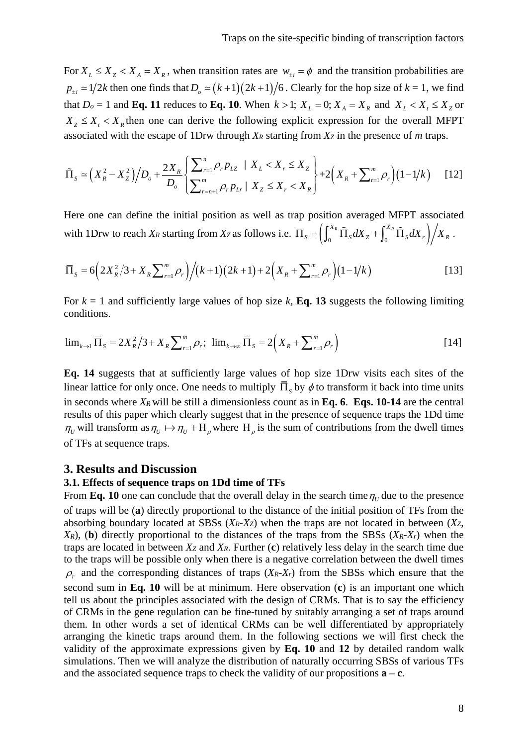For  $X_L \leq X_Z < X_A = X_R$ , when transition rates are  $w_{+i} = \phi$  and the transition probabilities are  $p_{\pm i} \approx 1/2k$  then one finds that  $D_0 \approx (k+1)(2k+1)/6$ . Clearly for the hop size of  $k = 1$ , we find that  $D_0 = 1$  and **Eq. 11** reduces to **Eq. 10**. When  $k > 1$ ;  $X_L = 0$ ;  $X_A = X_R$  and  $X_L < X_L \leq X_Z$  or  $X_z \leq X_t < X_R$  then one can derive the following explicit expression for the overall MFPT associated with the escape of 1Drw through *XR* starting from *XZ* in the presence of *m* traps.

$$
\tilde{\Pi}_S \simeq \Big(X_R^2 - X_Z^2\Big)\Big/D_o + \frac{2X_R}{D_o} \Bigg\{\sum_{r=n+1}^n \rho_r p_{LZ} \mid X_L < X_r \le X_Z}{\sum_{r=n+1}^m \rho_r p_{Lr} \mid X_Z \le X_r < X_R}\Bigg\} + 2\Big(X_R + \sum_{t=1}^m \rho_r\Big)(1 - 1/k) \tag{12}
$$

Here one can define the initial position as well as trap position averaged MFPT associated with 1Drw to reach  $X_R$  starting from  $X_Z$  as follows i.e.  $\overline{\Pi}_S = \left( \int_0^{X_R} \tilde{\Pi}_S dX_Z + \int_0^{X_R} \tilde{\Pi}_S dX_r \right) / X_R$ .

$$
\overline{\Pi}_s = 6\Big(2X_R^2/3 + X_R\sum_{r=1}^m \rho_r\Big)\Big/(k+1)(2k+1) + 2\Big(X_R + \sum_{r=1}^m \rho_r\Big)(1-1/k) \tag{13}
$$

For  $k = 1$  and sufficiently large values of hop size  $k$ , **Eq. 13** suggests the following limiting conditions.

$$
\lim_{k \to 1} \bar{\Pi}_s = 2X_R^2/3 + X_R \sum_{r=1}^m \rho_r; \ \lim_{k \to \infty} \bar{\Pi}_s = 2(X_R + \sum_{r=1}^m \rho_r)
$$
 [14]

**Eq. 14** suggests that at sufficiently large values of hop size 1Drw visits each sites of the linear lattice for only once. One needs to multiply  $\overline{\Pi}_{s}$  by  $\phi$  to transform it back into time units in seconds where  $X_R$  will be still a dimensionless count as in **Eq. 6**. **Eqs. 10-14** are the central results of this paper which clearly suggest that in the presence of sequence traps the 1Dd time  $\eta_U$  will transform as  $\eta_U \mapsto \eta_U + H_\rho$  where  $H_\rho$  is the sum of contributions from the dwell times of TFs at sequence traps.

# **3. Results and Discussion**

#### **3.1. Effects of sequence traps on 1Dd time of TFs**

From **Eq. 10** one can conclude that the overall delay in the search time  $\eta_U$  due to the presence of traps will be (**a**) directly proportional to the distance of the initial position of TFs from the absorbing boundary located at SBSs (*XR*-*XZ*) when the traps are not located in between (*XZ*, *XR*), (**b**) directly proportional to the distances of the traps from the SBSs (*XR*-*Xr*) when the traps are located in between *XZ* and *XR*. Further (**c**) relatively less delay in the search time due to the traps will be possible only when there is a negative correlation between the dwell times  $\rho_r$  and the corresponding distances of traps (*XR-Xr*) from the SBSs which ensure that the second sum in **Eq. 10** will be at minimum. Here observation (**c**) is an important one which tell us about the principles associated with the design of CRMs. That is to say the efficiency of CRMs in the gene regulation can be fine-tuned by suitably arranging a set of traps around them. In other words a set of identical CRMs can be well differentiated by appropriately arranging the kinetic traps around them. In the following sections we will first check the validity of the approximate expressions given by **Eq. 10** and **12** by detailed random walk simulations. Then we will analyze the distribution of naturally occurring SBSs of various TFs and the associated sequence traps to check the validity of our propositions  $\mathbf{a} - \mathbf{c}$ .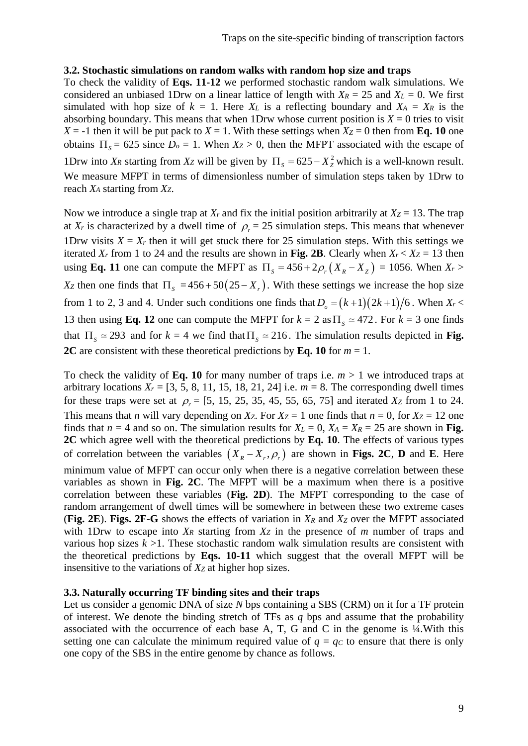# **3.2. Stochastic simulations on random walks with random hop size and traps**

To check the validity of **Eqs. 11-12** we performed stochastic random walk simulations. We considered an unbiased 1Drw on a linear lattice of length with  $X_R = 25$  and  $X_L = 0$ . We first simulated with hop size of  $k = 1$ . Here  $X_L$  is a reflecting boundary and  $X_A = X_R$  is the absorbing boundary. This means that when 1Drw whose current position is  $X = 0$  tries to visit  $X = -1$  then it will be put pack to  $X = 1$ . With these settings when  $X_Z = 0$  then from **Eq. 10** one obtains  $\Pi_s = 625$  since  $D_0 = 1$ . When  $X_z > 0$ , then the MFPT associated with the escape of 1Drw into  $X_R$  starting from  $X_Z$  will be given by  $\Pi_s = 625 - X_Z^2$  which is a well-known result. We measure MFPT in terms of dimensionless number of simulation steps taken by 1Drw to reach *XA* starting from *XZ*.

Now we introduce a single trap at  $X_r$  and fix the initial position arbitrarily at  $X_z = 13$ . The trap at  $X_r$  is characterized by a dwell time of  $\rho_r = 25$  simulation steps. This means that whenever 1Drw visits  $X = X_r$  then it will get stuck there for 25 simulation steps. With this settings we iterated *X<sub>r</sub>* from 1 to 24 and the results are shown in **Fig. 2B**. Clearly when  $X_r < X_Z = 13$  then using **Eq. 11** one can compute the MFPT as  $\Pi_s = 456 + 2\rho_r(X_R - X_Z) = 1056$ . When  $X_r >$ *Xz* then one finds that  $\Pi_s = 456 + 50(25 - X_r)$ . With these settings we increase the hop size from 1 to 2, 3 and 4. Under such conditions one finds that  $D_0 = (k+1)(2k+1)/6$ . When  $X_r <$ 13 then using **Eq. 12** one can compute the MFPT for  $k = 2$  as  $\Pi_s \approx 472$ . For  $k = 3$  one finds that  $\Pi_s \approx 293$  and for  $k = 4$  we find that  $\Pi_s \approx 216$ . The simulation results depicted in Fig. **2C** are consistent with these theoretical predictions by **Eq. 10** for *m* = 1.

To check the validity of **Eq. 10** for many number of traps i.e. *m* > 1 we introduced traps at arbitrary locations  $X_r = [3, 5, 8, 11, 15, 18, 21, 24]$  i.e.  $m = 8$ . The corresponding dwell times for these traps were set at  $\rho_r = [5, 15, 25, 35, 45, 55, 65, 75]$  and iterated *Xz* from 1 to 24. This means that *n* will vary depending on  $X_Z$ . For  $X_Z = 1$  one finds that  $n = 0$ , for  $X_Z = 12$  one finds that  $n = 4$  and so on. The simulation results for  $X_L = 0$ ,  $X_A = X_R = 25$  are shown in Fig. **2C** which agree well with the theoretical predictions by **Eq. 10**. The effects of various types of correlation between the variables  $(X_R - X_r, \rho_r)$  are shown in **Figs. 2C**, **D** and **E**. Here minimum value of MFPT can occur only when there is a negative correlation between these variables as shown in **Fig. 2C**. The MFPT will be a maximum when there is a positive correlation between these variables (**Fig. 2D**). The MFPT corresponding to the case of random arrangement of dwell times will be somewhere in between these two extreme cases (**Fig. 2E**). **Figs. 2F-G** shows the effects of variation in *XR* and *XZ* over the MFPT associated with 1Drw to escape into  $X_R$  starting from  $X_Z$  in the presence of  $m$  number of traps and various hop sizes  $k > 1$ . These stochastic random walk simulation results are consistent with the theoretical predictions by **Eqs. 10-11** which suggest that the overall MFPT will be insensitive to the variations of *XZ* at higher hop sizes.

# **3.3. Naturally occurring TF binding sites and their traps**

Let us consider a genomic DNA of size *N* bps containing a SBS (CRM) on it for a TF protein of interest. We denote the binding stretch of TFs as *q* bps and assume that the probability associated with the occurrence of each base A, T, G and C in the genome is  $\frac{1}{4}$ . With this setting one can calculate the minimum required value of  $q = qc$  to ensure that there is only one copy of the SBS in the entire genome by chance as follows.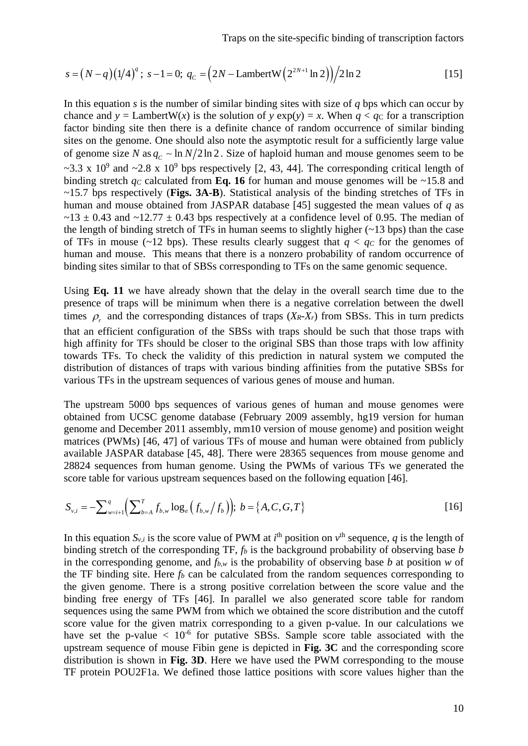$$
s = (N - q)(1/4)^{q}; s - 1 = 0; q_c = (2N - \text{LambertW}(2^{2N+1}\ln 2))/2\ln 2
$$
 [15]

In this equation *s* is the number of similar binding sites with size of *q* bps which can occur by chance and  $y =$  LambertW(*x*) is the solution of  $y \exp(y) = x$ . When  $q < q$ c for a transcription factor binding site then there is a definite chance of random occurrence of similar binding sites on the genome. One should also note the asymptotic result for a sufficiently large value of genome size *N* as  $q_c \sim \ln N/2\ln 2$ . Size of haploid human and mouse genomes seem to be  $\sim$ 3.3 x 10<sup>9</sup> and  $\sim$ 2.8 x 10<sup>9</sup> bps respectively [2, 43, 44]. The corresponding critical length of binding stretch  $q_c$  calculated from **Eq. 16** for human and mouse genomes will be ~15.8 and ~15.7 bps respectively (**Figs. 3A-B**). Statistical analysis of the binding stretches of TFs in human and mouse obtained from JASPAR database [45] suggested the mean values of *q* as  $\sim$ 13  $\pm$  0.43 and  $\sim$ 12.77  $\pm$  0.43 bps respectively at a confidence level of 0.95. The median of the length of binding stretch of TFs in human seems to slightly higher  $(-13 \text{ bps})$  than the case of TFs in mouse (~12 bps). These results clearly suggest that  $q < q_c$  for the genomes of human and mouse. This means that there is a nonzero probability of random occurrence of binding sites similar to that of SBSs corresponding to TFs on the same genomic sequence.

Using **Eq. 11** we have already shown that the delay in the overall search time due to the presence of traps will be minimum when there is a negative correlation between the dwell times  $\rho_r$  and the corresponding distances of traps (*XR-Xr*) from SBSs. This in turn predicts that an efficient configuration of the SBSs with traps should be such that those traps with high affinity for TFs should be closer to the original SBS than those traps with low affinity towards TFs. To check the validity of this prediction in natural system we computed the distribution of distances of traps with various binding affinities from the putative SBSs for various TFs in the upstream sequences of various genes of mouse and human.

The upstream 5000 bps sequences of various genes of human and mouse genomes were obtained from UCSC genome database (February 2009 assembly, hg19 version for human genome and December 2011 assembly, mm10 version of mouse genome) and position weight matrices (PWMs) [46, 47] of various TFs of mouse and human were obtained from publicly available JASPAR database [45, 48]. There were 28365 sequences from mouse genome and 28824 sequences from human genome. Using the PWMs of various TFs we generated the score table for various upstream sequences based on the following equation [46].

$$
S_{v,i} = -\sum_{w=i+1}^{q} \left( \sum_{b=A}^{T} f_{b,w} \log_e \left( f_{b,w} / f_b \right) \right); b = \{A, C, G, T\}
$$
 [16]

In this equation  $S_{v,i}$  is the score value of PWM at  $i^{\text{th}}$  position on  $v^{\text{th}}$  sequence, *q* is the length of binding stretch of the corresponding TF, *fb* is the background probability of observing base *b* in the corresponding genome, and  $f_{b,w}$  is the probability of observing base *b* at position *w* of the TF binding site. Here  $f_b$  can be calculated from the random sequences corresponding to the given genome. There is a strong positive correlation between the score value and the binding free energy of TFs [46]. In parallel we also generated score table for random sequences using the same PWM from which we obtained the score distribution and the cutoff score value for the given matrix corresponding to a given p-value. In our calculations we have set the p-value  $\langle 10^{-6}$  for putative SBSs. Sample score table associated with the upstream sequence of mouse Fibin gene is depicted in **Fig. 3C** and the corresponding score distribution is shown in **Fig. 3D**. Here we have used the PWM corresponding to the mouse TF protein POU2F1a. We defined those lattice positions with score values higher than the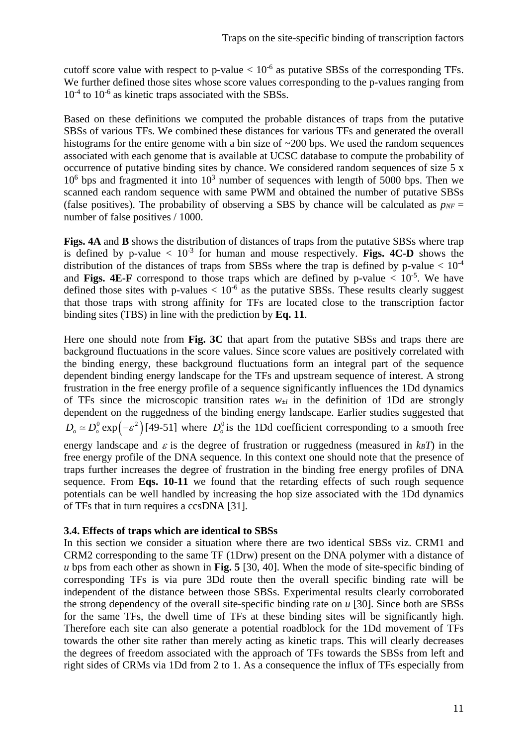cutoff score value with respect to p-value  $< 10^{-6}$  as putative SBSs of the corresponding TFs. We further defined those sites whose score values corresponding to the p-values ranging from  $10^{-4}$  to  $10^{-6}$  as kinetic traps associated with the SBSs.

Based on these definitions we computed the probable distances of traps from the putative SBSs of various TFs. We combined these distances for various TFs and generated the overall histograms for the entire genome with a bin size of ~200 bps. We used the random sequences associated with each genome that is available at UCSC database to compute the probability of occurrence of putative binding sites by chance. We considered random sequences of size 5 x  $10<sup>6</sup>$  bps and fragmented it into  $10<sup>3</sup>$  number of sequences with length of 5000 bps. Then we scanned each random sequence with same PWM and obtained the number of putative SBSs (false positives). The probability of observing a SBS by chance will be calculated as  $p_{NF}$  = number of false positives / 1000.

**Figs. 4A** and **B** shows the distribution of distances of traps from the putative SBSs where trap is defined by p-value  $\langle 10^{-3} \rangle$  for human and mouse respectively. **Figs. 4C-D** shows the distribution of the distances of traps from SBSs where the trap is defined by p-value  $< 10^{-4}$ and **Figs. 4E-F** correspond to those traps which are defined by p-value  $\lt 10^{-5}$ . We have defined those sites with p-values  $< 10^{-6}$  as the putative SBSs. These results clearly suggest that those traps with strong affinity for TFs are located close to the transcription factor binding sites (TBS) in line with the prediction by **Eq. 11**.

Here one should note from **Fig. 3C** that apart from the putative SBSs and traps there are background fluctuations in the score values. Since score values are positively correlated with the binding energy, these background fluctuations form an integral part of the sequence dependent binding energy landscape for the TFs and upstream sequence of interest. A strong frustration in the free energy profile of a sequence significantly influences the 1Dd dynamics of TFs since the microscopic transition rates  $w_{\pm i}$  in the definition of 1Dd are strongly dependent on the ruggedness of the binding energy landscape. Earlier studies suggested that  $D_0 \approx D_0^0 \exp(-\varepsilon^2)$  [49-51] where  $D_0^0$  is the 1Dd coefficient corresponding to a smooth free energy landscape and  $\varepsilon$  is the degree of frustration or ruggedness (measured in  $k_BT$ ) in the free energy profile of the DNA sequence. In this context one should note that the presence of traps further increases the degree of frustration in the binding free energy profiles of DNA sequence. From **Eqs. 10-11** we found that the retarding effects of such rough sequence potentials can be well handled by increasing the hop size associated with the 1Dd dynamics of TFs that in turn requires a ccsDNA [31].

# **3.4. Effects of traps which are identical to SBSs**

In this section we consider a situation where there are two identical SBSs viz. CRM1 and CRM2 corresponding to the same TF (1Drw) present on the DNA polymer with a distance of *u* bps from each other as shown in **Fig. 5** [30, 40]. When the mode of site-specific binding of corresponding TFs is via pure 3Dd route then the overall specific binding rate will be independent of the distance between those SBSs. Experimental results clearly corroborated the strong dependency of the overall site-specific binding rate on *u* [30]. Since both are SBSs for the same TFs, the dwell time of TFs at these binding sites will be significantly high. Therefore each site can also generate a potential roadblock for the 1Dd movement of TFs towards the other site rather than merely acting as kinetic traps. This will clearly decreases the degrees of freedom associated with the approach of TFs towards the SBSs from left and right sides of CRMs via 1Dd from 2 to 1. As a consequence the influx of TFs especially from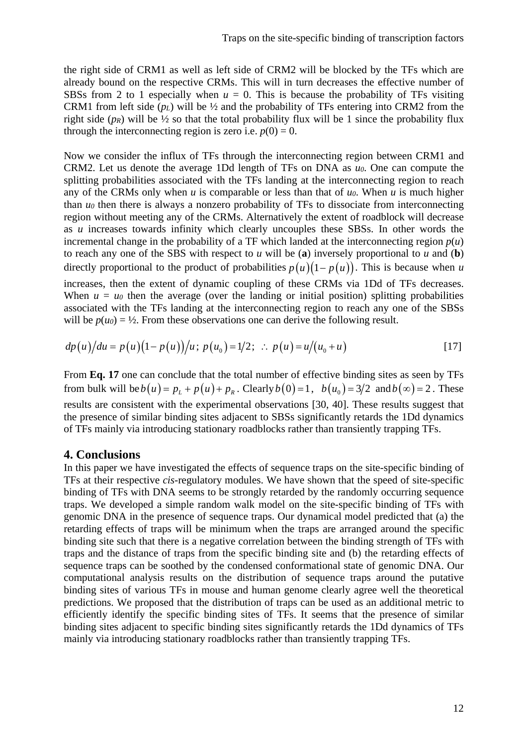the right side of CRM1 as well as left side of CRM2 will be blocked by the TFs which are already bound on the respective CRMs. This will in turn decreases the effective number of SBSs from 2 to 1 especially when  $u = 0$ . This is because the probability of TFs visiting CRM1 from left side (*pL*) will be ½ and the probability of TFs entering into CRM2 from the right side  $(p_R)$  will be  $\frac{1}{2}$  so that the total probability flux will be 1 since the probability flux through the interconnecting region is zero i.e.  $p(0) = 0$ .

Now we consider the influx of TFs through the interconnecting region between CRM1 and CRM2. Let us denote the average 1Dd length of TFs on DNA as *u0*. One can compute the splitting probabilities associated with the TFs landing at the interconnecting region to reach any of the CRMs only when *u* is comparable or less than that of *u0*. When *u* is much higher than *u0* then there is always a nonzero probability of TFs to dissociate from interconnecting region without meeting any of the CRMs. Alternatively the extent of roadblock will decrease as *u* increases towards infinity which clearly uncouples these SBSs. In other words the incremental change in the probability of a TF which landed at the interconnecting region  $p(u)$ to reach any one of the SBS with respect to  $u$  will be (a) inversely proportional to  $u$  and (b) directly proportional to the product of probabilities  $p(u)(1-p(u))$ . This is because when *u* increases, then the extent of dynamic coupling of these CRMs via 1Dd of TFs decreases. When  $u = u_0$  then the average (over the landing or initial position) splitting probabilities associated with the TFs landing at the interconnecting region to reach any one of the SBSs will be  $p(u_0) = \frac{1}{2}$ . From these observations one can derive the following result.

$$
dp(u)/du = p(u)(1-p(u))/u; p(u_0) = 1/2; \therefore p(u) = u/(u_0+u)
$$
 [17]

From **Eq. 17** one can conclude that the total number of effective binding sites as seen by TFs from bulk will be  $b(u) = p_t + p(u) + p_s$ . Clearly  $b(0) = 1$ ,  $b(u_0) = 3/2$  and  $b(\infty) = 2$ . These results are consistent with the experimental observations [30, 40]. These results suggest that the presence of similar binding sites adjacent to SBSs significantly retards the 1Dd dynamics of TFs mainly via introducing stationary roadblocks rather than transiently trapping TFs.

# **4. Conclusions**

In this paper we have investigated the effects of sequence traps on the site-specific binding of TFs at their respective *cis*-regulatory modules. We have shown that the speed of site-specific binding of TFs with DNA seems to be strongly retarded by the randomly occurring sequence traps. We developed a simple random walk model on the site-specific binding of TFs with genomic DNA in the presence of sequence traps. Our dynamical model predicted that (a) the retarding effects of traps will be minimum when the traps are arranged around the specific binding site such that there is a negative correlation between the binding strength of TFs with traps and the distance of traps from the specific binding site and (b) the retarding effects of sequence traps can be soothed by the condensed conformational state of genomic DNA. Our computational analysis results on the distribution of sequence traps around the putative binding sites of various TFs in mouse and human genome clearly agree well the theoretical predictions. We proposed that the distribution of traps can be used as an additional metric to efficiently identify the specific binding sites of TFs. It seems that the presence of similar binding sites adjacent to specific binding sites significantly retards the 1Dd dynamics of TFs mainly via introducing stationary roadblocks rather than transiently trapping TFs.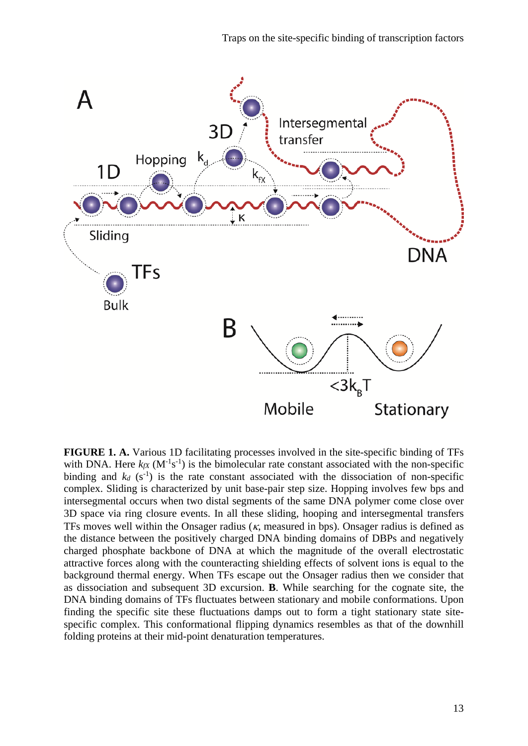

**FIGURE 1. A.** Various 1D facilitating processes involved in the site-specific binding of TFs with DNA. Here  $k_fX$  ( $M^{-1}s^{-1}$ ) is the bimolecular rate constant associated with the non-specific binding and  $k_d$  ( $s^{-1}$ ) is the rate constant associated with the dissociation of non-specific complex. Sliding is characterized by unit base-pair step size. Hopping involves few bps and intersegmental occurs when two distal segments of the same DNA polymer come close over 3D space via ring closure events. In all these sliding, hooping and intersegmental transfers TFs moves well within the Onsager radius ( $\kappa$ , measured in bps). Onsager radius is defined as the distance between the positively charged DNA binding domains of DBPs and negatively charged phosphate backbone of DNA at which the magnitude of the overall electrostatic attractive forces along with the counteracting shielding effects of solvent ions is equal to the background thermal energy. When TFs escape out the Onsager radius then we consider that as dissociation and subsequent 3D excursion. **B**. While searching for the cognate site, the DNA binding domains of TFs fluctuates between stationary and mobile conformations. Upon finding the specific site these fluctuations damps out to form a tight stationary state sitespecific complex. This conformational flipping dynamics resembles as that of the downhill folding proteins at their mid-point denaturation temperatures.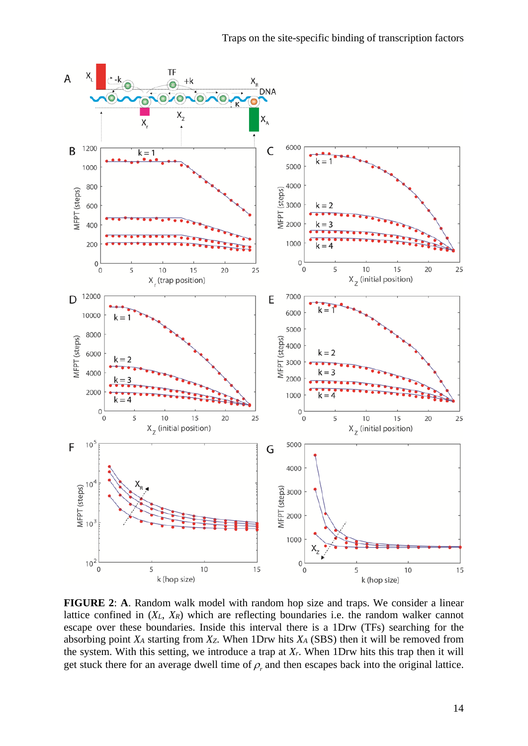

**FIGURE 2**: **A**. Random walk model with random hop size and traps. We consider a linear lattice confined in (*XL*, *XR*) which are reflecting boundaries i.e. the random walker cannot escape over these boundaries. Inside this interval there is a 1Drw (TFs) searching for the absorbing point *XA* starting from *XZ*. When 1Drw hits *XA* (SBS) then it will be removed from the system. With this setting, we introduce a trap at *Xr*. When 1Drw hits this trap then it will get stuck there for an average dwell time of  $\rho_r$  and then escapes back into the original lattice.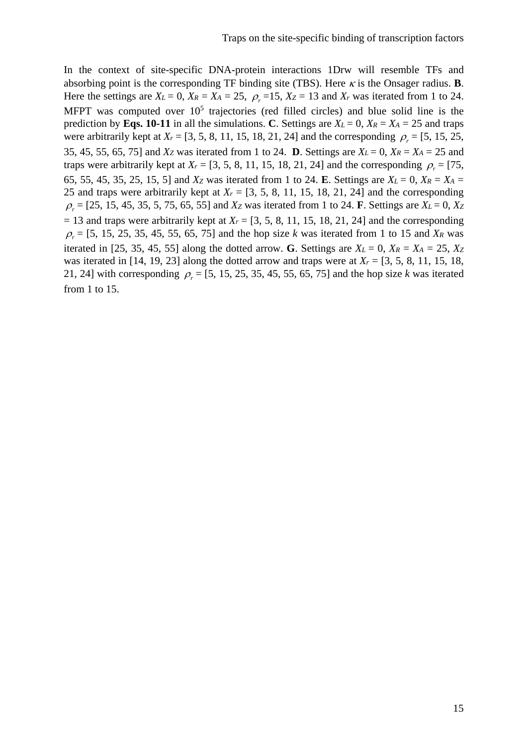In the context of site-specific DNA-protein interactions 1Drw will resemble TFs and absorbing point is the corresponding TF binding site (TBS). Here  $\kappa$  is the Onsager radius. **B**. Here the settings are  $X_L = 0$ ,  $X_R = X_A = 25$ ,  $\rho_r = 15$ ,  $X_Z = 13$  and  $X_r$  was iterated from 1 to 24. MFPT was computed over  $10<sup>5</sup>$  trajectories (red filled circles) and blue solid line is the prediction by **Eqs. 10-11** in all the simulations. **C**. Settings are  $X_L = 0$ ,  $X_R = X_A = 25$  and traps were arbitrarily kept at  $X_r = [3, 5, 8, 11, 15, 18, 21, 24]$  and the corresponding  $\rho_r = [5, 15, 25, 15, 25]$ 35, 45, 55, 65, 75] and *Xz* was iterated from 1 to 24. **D**. Settings are  $X_L = 0$ ,  $X_R = X_A = 25$  and traps were arbitrarily kept at  $X_r = [3, 5, 8, 11, 15, 18, 21, 24]$  and the corresponding  $\rho_r = [75,$ 65, 55, 45, 35, 25, 15, 5] and *Xz* was iterated from 1 to 24. **E**. Settings are  $X_L = 0$ ,  $X_R = X_A = 0$ 25 and traps were arbitrarily kept at  $X_r = [3, 5, 8, 11, 15, 18, 21, 24]$  and the corresponding  $\rho_r = [25, 15, 45, 35, 5, 75, 65, 55]$  and *Xz* was iterated from 1 to 24. **F**. Settings are *XL* = 0, *Xz*  $= 13$  and traps were arbitrarily kept at  $X_r = [3, 5, 8, 11, 15, 18, 21, 24]$  and the corresponding  $\rho_r = [5, 15, 25, 35, 45, 55, 65, 75]$  and the hop size *k* was iterated from 1 to 15 and *XR* was iterated in [25, 35, 45, 55] along the dotted arrow. **G**. Settings are  $X_L = 0$ ,  $X_R = X_A = 25$ ,  $X_Z$ was iterated in [14, 19, 23] along the dotted arrow and traps were at  $X_r = [3, 5, 8, 11, 15, 18,$ 21, 24] with corresponding  $\rho_r = [5, 15, 25, 35, 45, 55, 65, 75]$  and the hop size *k* was iterated from 1 to 15.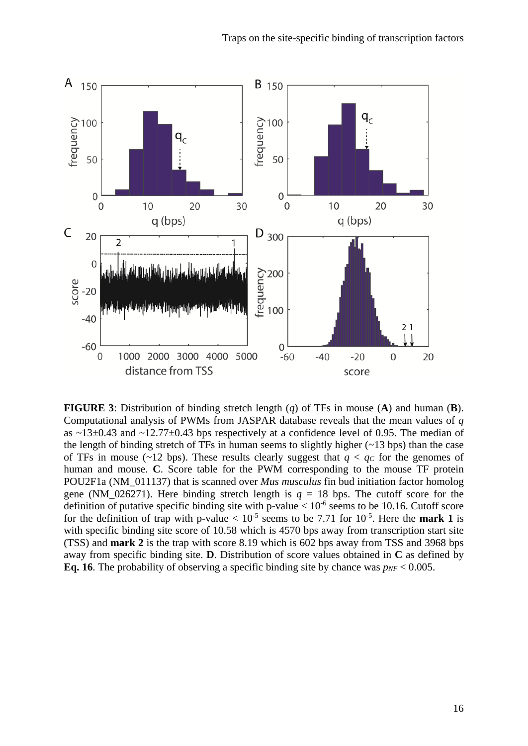

**FIGURE 3**: Distribution of binding stretch length (*q*) of TFs in mouse (**A**) and human (**B**). Computational analysis of PWMs from JASPAR database reveals that the mean values of *q* as  $\sim$ 13 $\pm$ 0.43 and  $\sim$ 12.77 $\pm$ 0.43 bps respectively at a confidence level of 0.95. The median of the length of binding stretch of TFs in human seems to slightly higher  $(-13 \text{ bps})$  than the case of TFs in mouse (~12 bps). These results clearly suggest that  $q < q_c$  for the genomes of human and mouse. **C**. Score table for the PWM corresponding to the mouse TF protein POU2F1a (NM\_011137) that is scanned over *Mus musculus* fin bud initiation factor homolog gene (NM\_026271). Here binding stretch length is  $q = 18$  bps. The cutoff score for the definition of putative specific binding site with p-value  $< 10^{-6}$  seems to be 10.16. Cutoff score for the definition of trap with p-value  $< 10^{-5}$  seems to be 7.71 for 10<sup>-5</sup>. Here the **mark 1** is with specific binding site score of 10.58 which is 4570 bps away from transcription start site (TSS) and **mark 2** is the trap with score 8.19 which is 602 bps away from TSS and 3968 bps away from specific binding site. **D**. Distribution of score values obtained in **C** as defined by **Eq. 16**. The probability of observing a specific binding site by chance was  $p_{NF} < 0.005$ .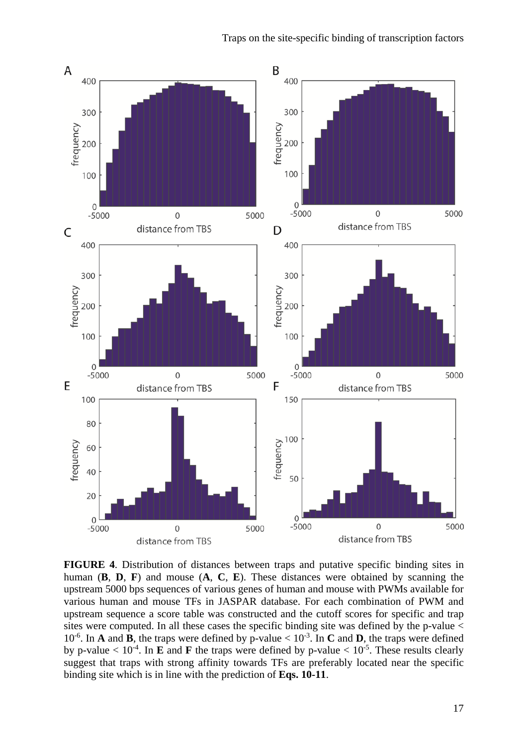

**FIGURE 4**. Distribution of distances between traps and putative specific binding sites in human (**B**, **D**, **F**) and mouse (**A**, **C**, **E**). These distances were obtained by scanning the upstream 5000 bps sequences of various genes of human and mouse with PWMs available for various human and mouse TFs in JASPAR database. For each combination of PWM and upstream sequence a score table was constructed and the cutoff scores for specific and trap sites were computed. In all these cases the specific binding site was defined by the p-value <  $10^{-6}$ . In **A** and **B**, the traps were defined by p-value <  $10^{-3}$ . In **C** and **D**, the traps were defined by p-value  $< 10^{-4}$ . In **E** and **F** the traps were defined by p-value  $< 10^{-5}$ . These results clearly suggest that traps with strong affinity towards TFs are preferably located near the specific binding site which is in line with the prediction of **Eqs. 10-11**.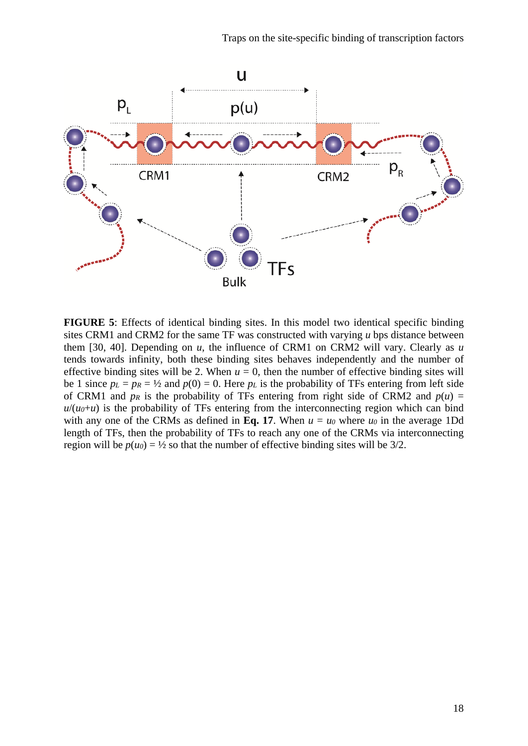

**FIGURE 5**: Effects of identical binding sites. In this model two identical specific binding sites CRM1 and CRM2 for the same TF was constructed with varying *u* bps distance between them [30, 40]. Depending on *u*, the influence of CRM1 on CRM2 will vary. Clearly as *u* tends towards infinity, both these binding sites behaves independently and the number of effective binding sites will be 2. When  $u = 0$ , then the number of effective binding sites will be 1 since  $p_L = p_R = \frac{1}{2}$  and  $p(0) = 0$ . Here  $p_L$  is the probability of TFs entering from left side of CRM1 and  $p_R$  is the probability of TFs entering from right side of CRM2 and  $p(u) =$  $u/(u_0+u)$  is the probability of TFs entering from the interconnecting region which can bind with any one of the CRMs as defined in Eq. 17. When  $u = u_0$  where  $u_0$  in the average 1Dd length of TFs, then the probability of TFs to reach any one of the CRMs via interconnecting region will be  $p(u_0) = \frac{1}{2}$  so that the number of effective binding sites will be 3/2.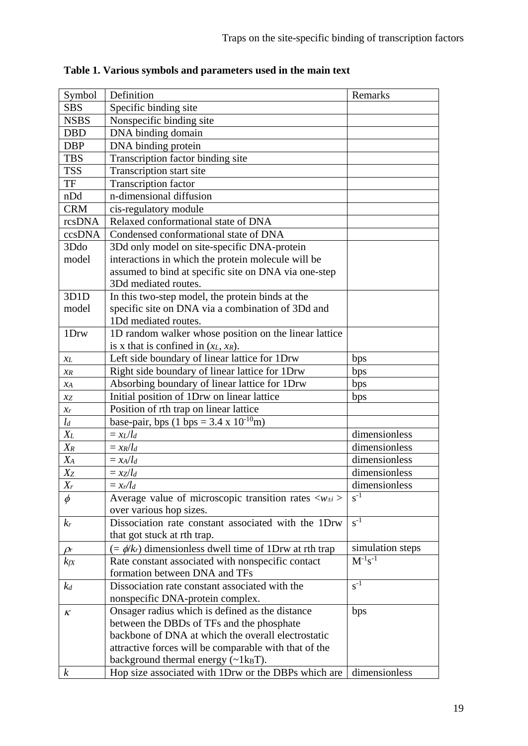| Symbol            | Definition                                                                | Remarks          |
|-------------------|---------------------------------------------------------------------------|------------------|
| <b>SBS</b>        | Specific binding site                                                     |                  |
| <b>NSBS</b>       | Nonspecific binding site                                                  |                  |
| <b>DBD</b>        | DNA binding domain                                                        |                  |
| <b>DBP</b>        | DNA binding protein                                                       |                  |
| <b>TBS</b>        | Transcription factor binding site                                         |                  |
| <b>TSS</b>        | Transcription start site                                                  |                  |
| TF                | <b>Transcription factor</b>                                               |                  |
| nDd               | n-dimensional diffusion                                                   |                  |
| <b>CRM</b>        | cis-regulatory module                                                     |                  |
| rcsDNA            | Relaxed conformational state of DNA                                       |                  |
| ccsDNA            | Condensed conformational state of DNA                                     |                  |
| 3Ddo              | 3Dd only model on site-specific DNA-protein                               |                  |
| model             | interactions in which the protein molecule will be                        |                  |
|                   | assumed to bind at specific site on DNA via one-step                      |                  |
|                   | 3Dd mediated routes.                                                      |                  |
| 3D <sub>1</sub> D | In this two-step model, the protein binds at the                          |                  |
| model             | specific site on DNA via a combination of 3Dd and                         |                  |
|                   | 1Dd mediated routes.                                                      |                  |
| 1Drw              | 1D random walker whose position on the linear lattice                     |                  |
|                   | is x that is confined in $(x_L, x_R)$ .                                   |                  |
| XL                | Left side boundary of linear lattice for 1Drw                             | bps              |
| X R               | Right side boundary of linear lattice for 1Drw                            | bps              |
| $x_A$             | Absorbing boundary of linear lattice for 1Drw                             | bps              |
| xz                | Initial position of 1Drw on linear lattice                                | bps              |
| $\chi_r$          | Position of rth trap on linear lattice                                    |                  |
| $l_d$             | base-pair, bps $(1 \text{ bps} = 3.4 \text{ x } 10^{-10} \text{m})$       |                  |
| $X_L$             | $=x_L/l_d$                                                                | dimensionless    |
| $X_R$             | $= x_R/l_d$                                                               | dimensionless    |
| $X_A$             | $= x_A/l_d$                                                               | dimensionless    |
| Xz                | $= xz/l_d$                                                                | dimensionless    |
| $X_r$             | $= x_r / l_d$                                                             | dimensionless    |
| $\phi$            | Average value of microscopic transition rates $\langle w_{\pm i} \rangle$ | $s^{-1}$         |
|                   | over various hop sizes.                                                   |                  |
| $k_r$             | Dissociation rate constant associated with the 1Drw                       | $s^{-1}$         |
|                   | that got stuck at rth trap.                                               |                  |
| $\rho_r$          | $(=\phi/k_r)$ dimensionless dwell time of 1Drw at rth trap                | simulation steps |
| $k_{fX}$          | Rate constant associated with nonspecific contact                         | $M^{-1}s^{-1}$   |
|                   | formation between DNA and TFs                                             |                  |
| $k_d$             | Dissociation rate constant associated with the                            | $s^{-1}$         |
|                   | nonspecific DNA-protein complex.                                          |                  |
| κ                 | Onsager radius which is defined as the distance                           | bps              |
|                   | between the DBDs of TFs and the phosphate                                 |                  |
|                   | backbone of DNA at which the overall electrostatic                        |                  |
|                   | attractive forces will be comparable with that of the                     |                  |
|                   | background thermal energy $(\sim 1 \text{kgT})$ .                         |                  |
| $\boldsymbol{k}$  | Hop size associated with 1Drw or the DBPs which are                       | dimensionless    |

**Table 1. Various symbols and parameters used in the main text**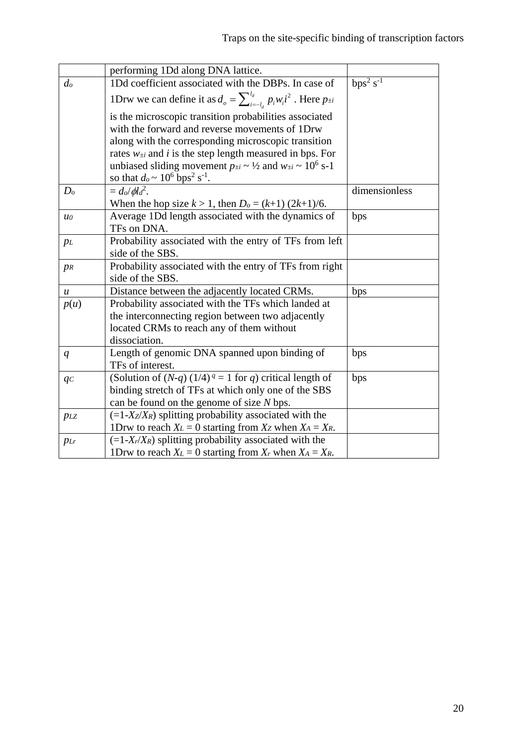|                  | performing 1Dd along DNA lattice.                                                                                                                                                            |                         |
|------------------|----------------------------------------------------------------------------------------------------------------------------------------------------------------------------------------------|-------------------------|
| $d_o$            | 1Dd coefficient associated with the DBPs. In case of                                                                                                                                         | $bps^2$ s <sup>-1</sup> |
|                  | 1Drw we can define it as $d_o = \sum_{i=-l}^{l_d} p_i w_i i^2$ . Here $p_{\pm i}$                                                                                                            |                         |
|                  | is the microscopic transition probabilities associated                                                                                                                                       |                         |
|                  | with the forward and reverse movements of 1Drw                                                                                                                                               |                         |
|                  | along with the corresponding microscopic transition                                                                                                                                          |                         |
|                  | rates $w_{\pm i}$ and <i>i</i> is the step length measured in bps. For                                                                                                                       |                         |
|                  | unbiased sliding movement $p_{\pm i} \sim \frac{1}{2}$ and $w_{\pm i} \sim 10^6$ s-1                                                                                                         |                         |
|                  | so that $d_0 \sim 10^6$ bps <sup>2</sup> s <sup>-1</sup> .                                                                                                                                   |                         |
| D <sub>o</sub>   | $= d_o/dl_d^2$ .                                                                                                                                                                             | dimensionless           |
|                  | When the hop size $k > 1$ , then $D_0 = (k+1) (2k+1)/6$ .                                                                                                                                    |                         |
| $u_0$            | Average 1Dd length associated with the dynamics of                                                                                                                                           | bps                     |
|                  | TFs on DNA.                                                                                                                                                                                  |                         |
| $p_L$            | Probability associated with the entry of TFs from left                                                                                                                                       |                         |
|                  | side of the SBS.                                                                                                                                                                             |                         |
| $p_R$            | Probability associated with the entry of TFs from right                                                                                                                                      |                         |
|                  | side of the SBS.                                                                                                                                                                             |                         |
| $\boldsymbol{u}$ | Distance between the adjacently located CRMs.                                                                                                                                                | bps                     |
| p(u)             | Probability associated with the TFs which landed at                                                                                                                                          |                         |
|                  | the interconnecting region between two adjacently                                                                                                                                            |                         |
|                  | located CRMs to reach any of them without                                                                                                                                                    |                         |
|                  | dissociation.                                                                                                                                                                                |                         |
| $q_{\parallel}$  | Length of genomic DNA spanned upon binding of<br>TFs of interest.                                                                                                                            | bps                     |
|                  |                                                                                                                                                                                              |                         |
| qc               | (Solution of $(N-q)$ $(1/4)$ <sup><math>q</math></sup> = 1 for <i>q</i> ) critical length of<br>binding stretch of TFs at which only one of the SBS                                          | bps                     |
|                  | can be found on the genome of size N bps.                                                                                                                                                    |                         |
|                  | $(=1-X_Z/X_R)$ splitting probability associated with the                                                                                                                                     |                         |
| $p_{LZ}$         |                                                                                                                                                                                              |                         |
|                  |                                                                                                                                                                                              |                         |
|                  |                                                                                                                                                                                              |                         |
| PLr              | 1Drw to reach $X_L = 0$ starting from $X_Z$ when $X_A = X_R$ .<br>$(=1-X_r/X_R)$ splitting probability associated with the<br>1Drw to reach $X_L = 0$ starting from $X_r$ when $X_A = X_R$ . |                         |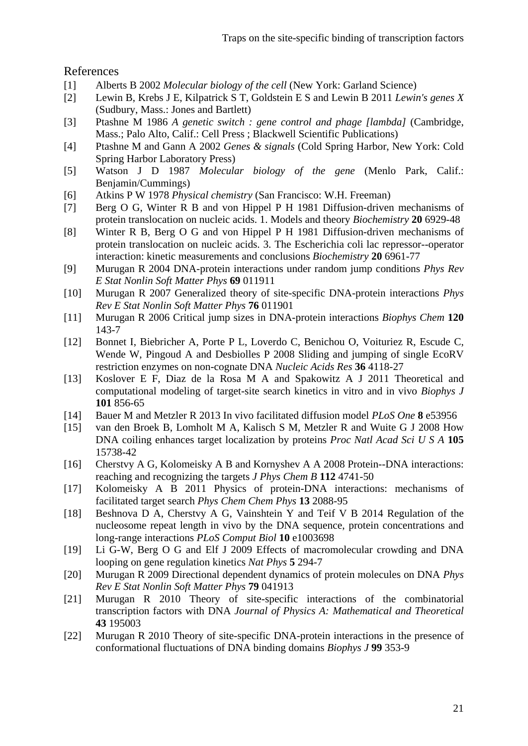# References

- [1] Alberts B 2002 *Molecular biology of the cell* (New York: Garland Science)
- [2] Lewin B, Krebs J E, Kilpatrick S T, Goldstein E S and Lewin B 2011 *Lewin's genes X* (Sudbury, Mass.: Jones and Bartlett)
- [3] Ptashne M 1986 *A genetic switch : gene control and phage [lambda]* (Cambridge, Mass.; Palo Alto, Calif.: Cell Press ; Blackwell Scientific Publications)
- [4] Ptashne M and Gann A 2002 *Genes & signals* (Cold Spring Harbor, New York: Cold Spring Harbor Laboratory Press)
- [5] Watson J D 1987 *Molecular biology of the gene* (Menlo Park, Calif.: Benjamin/Cummings)
- [6] Atkins P W 1978 *Physical chemistry* (San Francisco: W.H. Freeman)
- [7] Berg O G, Winter R B and von Hippel P H 1981 Diffusion-driven mechanisms of protein translocation on nucleic acids. 1. Models and theory *Biochemistry* **20** 6929-48
- [8] Winter R B, Berg O G and von Hippel P H 1981 Diffusion-driven mechanisms of protein translocation on nucleic acids. 3. The Escherichia coli lac repressor--operator interaction: kinetic measurements and conclusions *Biochemistry* **20** 6961-77
- [9] Murugan R 2004 DNA-protein interactions under random jump conditions *Phys Rev E Stat Nonlin Soft Matter Phys* **69** 011911
- [10] Murugan R 2007 Generalized theory of site-specific DNA-protein interactions *Phys Rev E Stat Nonlin Soft Matter Phys* **76** 011901
- [11] Murugan R 2006 Critical jump sizes in DNA-protein interactions *Biophys Chem* **120** 143-7
- [12] Bonnet I, Biebricher A, Porte P L, Loverdo C, Benichou O, Voituriez R, Escude C, Wende W, Pingoud A and Desbiolles P 2008 Sliding and jumping of single EcoRV restriction enzymes on non-cognate DNA *Nucleic Acids Res* **36** 4118-27
- [13] Koslover E F, Diaz de la Rosa M A and Spakowitz A J 2011 Theoretical and computational modeling of target-site search kinetics in vitro and in vivo *Biophys J* **101** 856-65
- [14] Bauer M and Metzler R 2013 In vivo facilitated diffusion model *PLoS One* **8** e53956
- [15] van den Broek B, Lomholt M A, Kalisch S M, Metzler R and Wuite G J 2008 How DNA coiling enhances target localization by proteins *Proc Natl Acad Sci U S A* **105** 15738-42
- [16] Cherstvy A G, Kolomeisky A B and Kornyshev A A 2008 Protein--DNA interactions: reaching and recognizing the targets *J Phys Chem B* **112** 4741-50
- [17] Kolomeisky A B 2011 Physics of protein-DNA interactions: mechanisms of facilitated target search *Phys Chem Chem Phys* **13** 2088-95
- [18] Beshnova D A, Cherstvy A G, Vainshtein Y and Teif V B 2014 Regulation of the nucleosome repeat length in vivo by the DNA sequence, protein concentrations and long-range interactions *PLoS Comput Biol* **10** e1003698
- [19] Li G-W, Berg O G and Elf J 2009 Effects of macromolecular crowding and DNA looping on gene regulation kinetics *Nat Phys* **5** 294-7
- [20] Murugan R 2009 Directional dependent dynamics of protein molecules on DNA *Phys Rev E Stat Nonlin Soft Matter Phys* **79** 041913
- [21] Murugan R 2010 Theory of site-specific interactions of the combinatorial transcription factors with DNA *Journal of Physics A: Mathematical and Theoretical* **43** 195003
- [22] Murugan R 2010 Theory of site-specific DNA-protein interactions in the presence of conformational fluctuations of DNA binding domains *Biophys J* **99** 353-9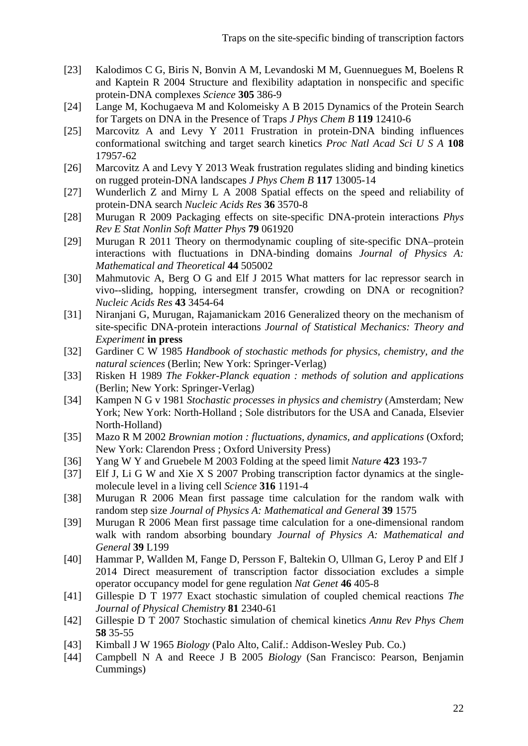- [23] Kalodimos C G, Biris N, Bonvin A M, Levandoski M M, Guennuegues M, Boelens R and Kaptein R 2004 Structure and flexibility adaptation in nonspecific and specific protein-DNA complexes *Science* **305** 386-9
- [24] Lange M, Kochugaeva M and Kolomeisky A B 2015 Dynamics of the Protein Search for Targets on DNA in the Presence of Traps *J Phys Chem B* **119** 12410-6
- [25] Marcovitz A and Levy Y 2011 Frustration in protein-DNA binding influences conformational switching and target search kinetics *Proc Natl Acad Sci U S A* **108** 17957-62
- [26] Marcovitz A and Levy Y 2013 Weak frustration regulates sliding and binding kinetics on rugged protein-DNA landscapes *J Phys Chem B* **117** 13005-14
- [27] Wunderlich Z and Mirny L A 2008 Spatial effects on the speed and reliability of protein-DNA search *Nucleic Acids Res* **36** 3570-8
- [28] Murugan R 2009 Packaging effects on site-specific DNA-protein interactions *Phys Rev E Stat Nonlin Soft Matter Phys* **79** 061920
- [29] Murugan R 2011 Theory on thermodynamic coupling of site-specific DNA–protein interactions with fluctuations in DNA-binding domains *Journal of Physics A: Mathematical and Theoretical* **44** 505002
- [30] Mahmutovic A, Berg O G and Elf J 2015 What matters for lac repressor search in vivo--sliding, hopping, intersegment transfer, crowding on DNA or recognition? *Nucleic Acids Res* **43** 3454-64
- [31] Niranjani G, Murugan, Rajamanickam 2016 Generalized theory on the mechanism of site-specific DNA-protein interactions *Journal of Statistical Mechanics: Theory and Experiment* **in press**
- [32] Gardiner C W 1985 *Handbook of stochastic methods for physics, chemistry, and the natural sciences* (Berlin; New York: Springer-Verlag)
- [33] Risken H 1989 *The Fokker-Planck equation : methods of solution and applications* (Berlin; New York: Springer-Verlag)
- [34] Kampen N G v 1981 *Stochastic processes in physics and chemistry* (Amsterdam; New York; New York: North-Holland ; Sole distributors for the USA and Canada, Elsevier North-Holland)
- [35] Mazo R M 2002 *Brownian motion : fluctuations, dynamics, and applications* (Oxford; New York: Clarendon Press ; Oxford University Press)
- [36] Yang W Y and Gruebele M 2003 Folding at the speed limit *Nature* **423** 193-7
- [37] Elf J, Li G W and Xie X S 2007 Probing transcription factor dynamics at the singlemolecule level in a living cell *Science* **316** 1191-4
- [38] Murugan R 2006 Mean first passage time calculation for the random walk with random step size *Journal of Physics A: Mathematical and General* **39** 1575
- [39] Murugan R 2006 Mean first passage time calculation for a one-dimensional random walk with random absorbing boundary *Journal of Physics A: Mathematical and General* **39** L199
- [40] Hammar P, Wallden M, Fange D, Persson F, Baltekin O, Ullman G, Leroy P and Elf J 2014 Direct measurement of transcription factor dissociation excludes a simple operator occupancy model for gene regulation *Nat Genet* **46** 405-8
- [41] Gillespie D T 1977 Exact stochastic simulation of coupled chemical reactions *The Journal of Physical Chemistry* **81** 2340-61
- [42] Gillespie D T 2007 Stochastic simulation of chemical kinetics *Annu Rev Phys Chem* **58** 35-55
- [43] Kimball J W 1965 *Biology* (Palo Alto, Calif.: Addison-Wesley Pub. Co.)
- [44] Campbell N A and Reece J B 2005 *Biology* (San Francisco: Pearson, Benjamin Cummings)